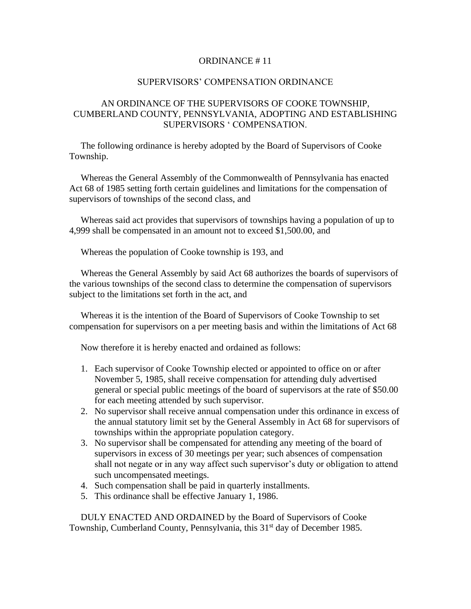## ORDINANCE # 11

## SUPERVISORS' COMPENSATION ORDINANCE

## AN ORDINANCE OF THE SUPERVISORS OF COOKE TOWNSHIP, CUMBERLAND COUNTY, PENNSYLVANIA, ADOPTING AND ESTABLISHING SUPERVISORS ' COMPENSATION.

 The following ordinance is hereby adopted by the Board of Supervisors of Cooke Township.

 Whereas the General Assembly of the Commonwealth of Pennsylvania has enacted Act 68 of 1985 setting forth certain guidelines and limitations for the compensation of supervisors of townships of the second class, and

 Whereas said act provides that supervisors of townships having a population of up to 4,999 shall be compensated in an amount not to exceed \$1,500.00, and

Whereas the population of Cooke township is 193, and

 Whereas the General Assembly by said Act 68 authorizes the boards of supervisors of the various townships of the second class to determine the compensation of supervisors subject to the limitations set forth in the act, and

 Whereas it is the intention of the Board of Supervisors of Cooke Township to set compensation for supervisors on a per meeting basis and within the limitations of Act 68

Now therefore it is hereby enacted and ordained as follows:

- 1. Each supervisor of Cooke Township elected or appointed to office on or after November 5, 1985, shall receive compensation for attending duly advertised general or special public meetings of the board of supervisors at the rate of \$50.00 for each meeting attended by such supervisor.
- 2. No supervisor shall receive annual compensation under this ordinance in excess of the annual statutory limit set by the General Assembly in Act 68 for supervisors of townships within the appropriate population category.
- 3. No supervisor shall be compensated for attending any meeting of the board of supervisors in excess of 30 meetings per year; such absences of compensation shall not negate or in any way affect such supervisor's duty or obligation to attend such uncompensated meetings.
- 4. Such compensation shall be paid in quarterly installments.
- 5. This ordinance shall be effective January 1, 1986.

 DULY ENACTED AND ORDAINED by the Board of Supervisors of Cooke Township, Cumberland County, Pennsylvania, this 31<sup>st</sup> day of December 1985.